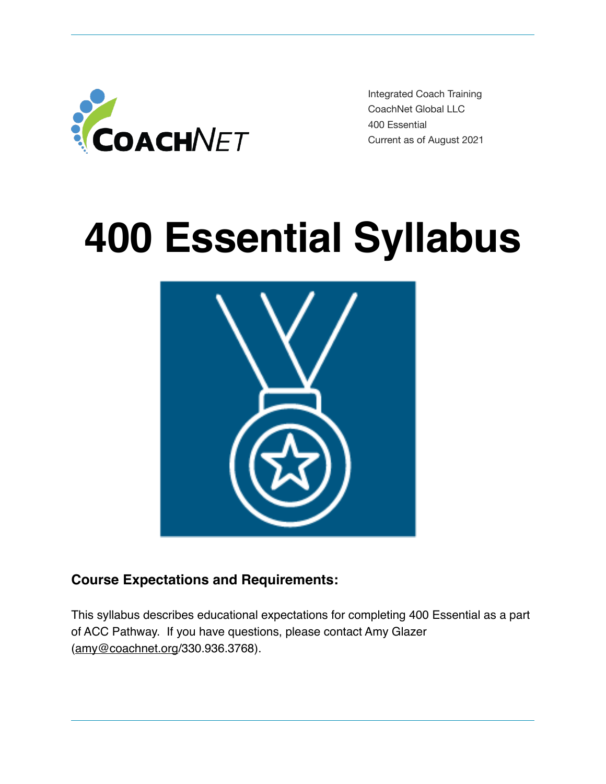

Integrated Coach Training CoachNet Global LLC 400 Essential Current as of August 2021

# **400 Essential Syllabus**



### **Course Expectations and Requirements:**

This syllabus describes educational expectations for completing 400 Essential as a part of ACC Pathway. If you have questions, please contact Amy Glazer ([amy@coachnet.org](mailto:amy@coachnet.org)/330.936.3768).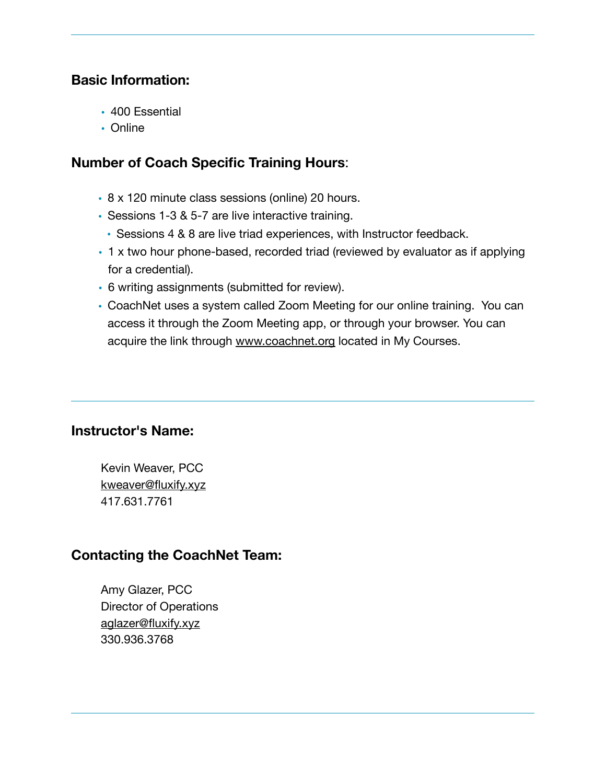#### **Basic Information:**

- 400 Essential
- Online

#### **Number of Coach Specific Training Hours**:

- 8 x 120 minute class sessions (online) 20 hours.
- Sessions 1-3 & 5-7 are live interactive training.
	- Sessions 4 & 8 are live triad experiences, with Instructor feedback.
- 1 x two hour phone-based, recorded triad (reviewed by evaluator as if applying for a credential).
- 6 writing assignments (submitted for review).
- CoachNet uses a system called Zoom Meeting for our online training. You can access it through the Zoom Meeting app, or through your browser. You can acquire the link through [www.coachnet.org](http://www.coachnet.org) located in My Courses.

#### **Instructor's Name:**

Kevin Weaver, PCC [kweaver@fluxify.xyz](mailto:kweaver@fluxify.xyz) 417.631.7761

### **Contacting the CoachNet Team:**

Amy Glazer, PCC Director of Operations [aglazer@fluxify.xyz](mailto:aglazer@fluxify.xyz) 330.936.3768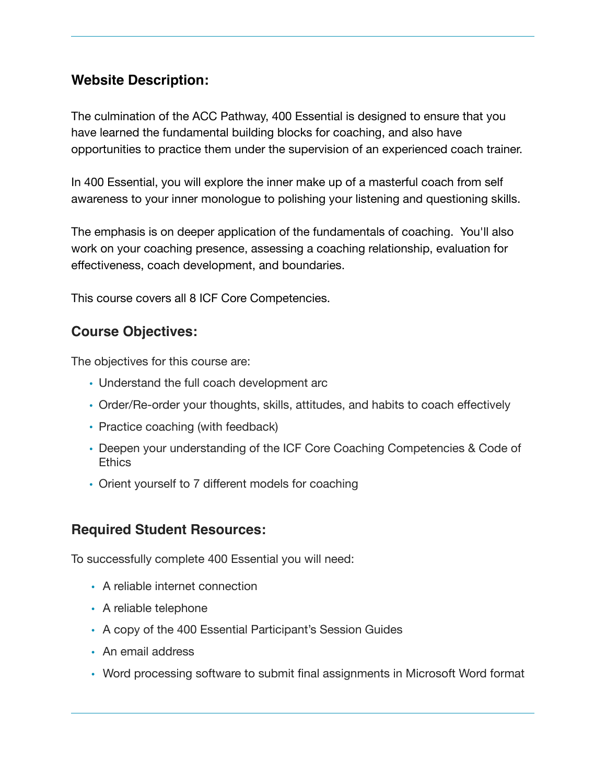#### **Website Description:**

The culmination of the ACC Pathway, 400 Essential is designed to ensure that you have learned the fundamental building blocks for coaching, and also have opportunities to practice them under the supervision of an experienced coach trainer.

In 400 Essential, you will explore the inner make up of a masterful coach from self awareness to your inner monologue to polishing your listening and questioning skills.

The emphasis is on deeper application of the fundamentals of coaching. You'll also work on your coaching presence, assessing a coaching relationship, evaluation for effectiveness, coach development, and boundaries.

This course covers all 8 ICF Core Competencies.

#### **Course Objectives:**

The objectives for this course are:

- Understand the full coach development arc
- Order/Re-order your thoughts, skills, attitudes, and habits to coach effectively
- Practice coaching (with feedback)
- Deepen your understanding of the ICF Core Coaching Competencies & Code of **Ethics**
- Orient yourself to 7 different models for coaching

#### **Required Student Resources:**

To successfully complete 400 Essential you will need:

- A reliable internet connection
- A reliable telephone
- A copy of the 400 Essential Participant's Session Guides
- An email address
- Word processing software to submit final assignments in Microsoft Word format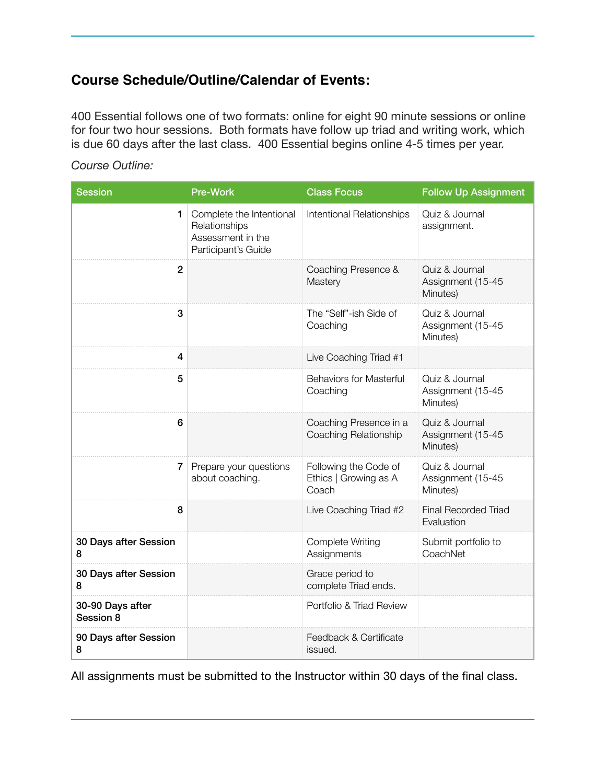### **Course Schedule/Outline/Calendar of Events:**

400 Essential follows one of two formats: online for eight 90 minute sessions or online for four two hour sessions. Both formats have follow up triad and writing work, which is due 60 days after the last class. 400 Essential begins online 4-5 times per year.

#### *Course Outline:*

| <b>Session</b>                | <b>Pre-Work</b>                                                                       | <b>Class Focus</b>                                      | <b>Follow Up Assignment</b>                     |
|-------------------------------|---------------------------------------------------------------------------------------|---------------------------------------------------------|-------------------------------------------------|
| 1                             | Complete the Intentional<br>Relationships<br>Assessment in the<br>Participant's Guide | Intentional Relationships                               | Quiz & Journal<br>assignment.                   |
| $\overline{2}$                |                                                                                       | Coaching Presence &<br>Mastery                          | Quiz & Journal<br>Assignment (15-45<br>Minutes) |
| 3                             |                                                                                       | The "Self"-ish Side of<br>Coaching                      | Quiz & Journal<br>Assignment (15-45<br>Minutes) |
| 4                             |                                                                                       | Live Coaching Triad #1                                  |                                                 |
| 5                             |                                                                                       | <b>Behaviors for Masterful</b><br>Coaching              | Quiz & Journal<br>Assignment (15-45<br>Minutes) |
| 6                             |                                                                                       | Coaching Presence in a<br>Coaching Relationship         | Quiz & Journal<br>Assignment (15-45<br>Minutes) |
| 7                             | Prepare your questions<br>about coaching.                                             | Following the Code of<br>Ethics   Growing as A<br>Coach | Quiz & Journal<br>Assignment (15-45<br>Minutes) |
| 8                             |                                                                                       | Live Coaching Triad #2                                  | Final Recorded Triad<br>Evaluation              |
| 30 Days after Session<br>8    |                                                                                       | Complete Writing<br>Assignments                         | Submit portfolio to<br>CoachNet                 |
| 30 Days after Session<br>8    |                                                                                       | Grace period to<br>complete Triad ends.                 |                                                 |
| 30-90 Days after<br>Session 8 |                                                                                       | Portfolio & Triad Review                                |                                                 |
| 90 Days after Session<br>8    |                                                                                       | Feedback & Certificate<br>issued.                       |                                                 |

All assignments must be submitted to the Instructor within 30 days of the final class.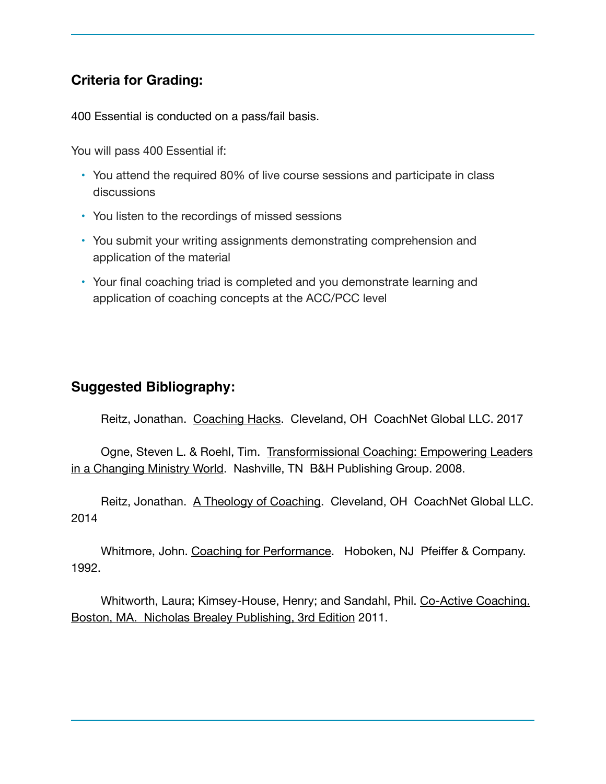### **Criteria for Grading:**

400 Essential is conducted on a pass/fail basis.

You will pass 400 Essential if:

- You attend the required 80% of live course sessions and participate in class discussions
- You listen to the recordings of missed sessions
- You submit your writing assignments demonstrating comprehension and application of the material
- Your final coaching triad is completed and you demonstrate learning and application of coaching concepts at the ACC/PCC level

#### **Suggested Bibliography:**

Reitz, Jonathan. Coaching Hacks. Cleveland, OH CoachNet Global LLC. 2017

Ogne, Steven L. & Roehl, Tim. [Transformissional Coaching: Empowering Leaders](http://amzn.to/1JKNVnw)  [in a Changing Ministry World](http://amzn.to/1JKNVnw). Nashville, TN B&H Publishing Group. 2008.

Reitz, Jonathan. [A Theology of Coaching](https://coachnet.leadpages.net/a-theology-of-coaching-coachnet/). Cleveland, OH CoachNet Global LLC. 2014

Whitmore, John. [Coaching for Performance.](http://amzn.to/1AZ6BLn) Hoboken, NJ Pfeiffer & Company. 1992.

Whitworth, Laura; Kimsey-House, Henry; and Sandahl, Phil. [Co-Active Coaching.](http://amzn.to/1EHPMW0)  [Boston, MA. Nicholas Brealey Publishing, 3rd Edition](http://amzn.to/1EHPMW0) 2011.